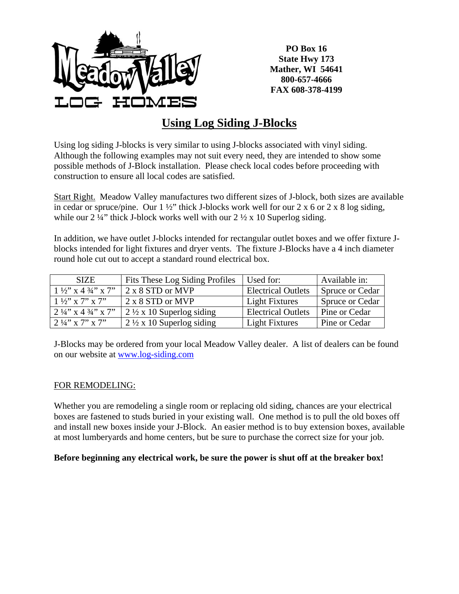

**PO Box 16 State Hwy 173 Mather, WI 54641 800-657-4666 FAX 608-378-4199** 

## **Using Log Siding J-Blocks**

Using log siding J-blocks is very similar to using J-blocks associated with vinyl siding. Although the following examples may not suit every need, they are intended to show some possible methods of J-Block installation. Please check local codes before proceeding with construction to ensure all local codes are satisfied.

Start Right. Meadow Valley manufactures two different sizes of J-block, both sizes are available in cedar or spruce/pine. Our  $1\frac{1}{2}$  thick J-blocks work well for our  $2 \times 6$  or  $2 \times 8$  log siding, while our  $2\frac{1}{4}$ " thick J-block works well with our  $2\frac{1}{2}$  x 10 Superlog siding.

In addition, we have outlet J-blocks intended for rectangular outlet boxes and we offer fixture Jblocks intended for light fixtures and dryer vents. The fixture J-Blocks have a 4 inch diameter round hole cut out to accept a standard round electrical box.

| <b>SIZE</b>                               | Fits These Log Siding Profiles      | Used for:                 | Available in:   |
|-------------------------------------------|-------------------------------------|---------------------------|-----------------|
| $1\frac{1}{2}$ x 4 $\frac{3}{4}$ x 7"     | 2 x 8 STD or MVP                    | <b>Electrical Outlets</b> | Spruce or Cedar |
| $1\frac{1}{2}$ x 7" x 7"                  | 2 x 8 STD or MVP                    | Light Fixtures            | Spruce or Cedar |
| $2\frac{1}{4}$ , x 4 $\frac{3}{4}$ , x 7. | $2\frac{1}{2}$ x 10 Superlog siding | <b>Electrical Outlets</b> | Pine or Cedar   |
| $2\frac{1}{4}$ x 7'' x 7''                | $2\frac{1}{2}$ x 10 Superlog siding | Light Fixtures            | Pine or Cedar   |

J-Blocks may be ordered from your local Meadow Valley dealer. A list of dealers can be found on our website at [www.log-siding.com](http://www.log-siding.com/)

## FOR REMODELING:

Whether you are remodeling a single room or replacing old siding, chances are your electrical boxes are fastened to studs buried in your existing wall. One method is to pull the old boxes off and install new boxes inside your J-Block. An easier method is to buy extension boxes, available at most lumberyards and home centers, but be sure to purchase the correct size for your job.

## **Before beginning any electrical work, be sure the power is shut off at the breaker box!**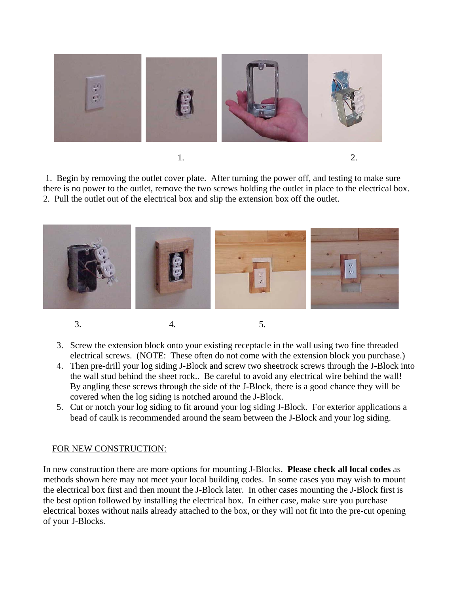

1. 2.

 1. Begin by removing the outlet cover plate. After turning the power off, and testing to make sure there is no power to the outlet, remove the two screws holding the outlet in place to the electrical box. 2. Pull the outlet out of the electrical box and slip the extension box off the outlet.



- -
- 
- 3. 4. 5.
	- 3. Screw the extension block onto your existing receptacle in the wall using two fine threaded electrical screws. (NOTE: These often do not come with the extension block you purchase.)
	- 4. Then pre-drill your log siding J-Block and screw two sheetrock screws through the J-Block into the wall stud behind the sheet rock.. Be careful to avoid any electrical wire behind the wall! By angling these screws through the side of the J-Block, there is a good chance they will be covered when the log siding is notched around the J-Block.
	- 5. Cut or notch your log siding to fit around your log siding J-Block. For exterior applications a bead of caulk is recommended around the seam between the J-Block and your log siding.

## FOR NEW CONSTRUCTION:

In new construction there are more options for mounting J-Blocks. **Please check all local codes** as methods shown here may not meet your local building codes. In some cases you may wish to mount the electrical box first and then mount the J-Block later. In other cases mounting the J-Block first is the best option followed by installing the electrical box. In either case, make sure you purchase electrical boxes without nails already attached to the box, or they will not fit into the pre-cut opening of your J-Blocks.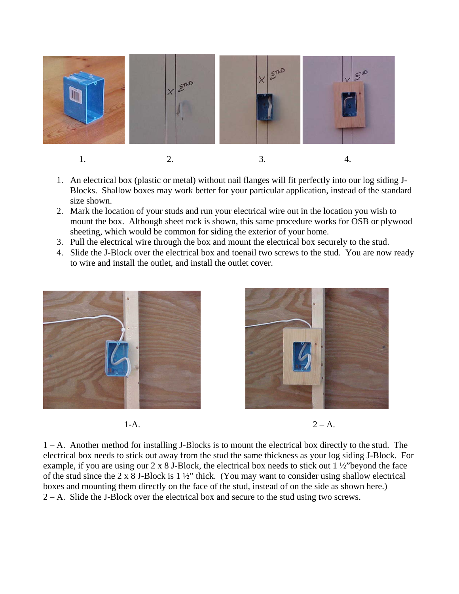

- 1. An electrical box (plastic or metal) without nail flanges will fit perfectly into our log siding J-Blocks. Shallow boxes may work better for your particular application, instead of the standard size shown.
- 2. Mark the location of your studs and run your electrical wire out in the location you wish to mount the box. Although sheet rock is shown, this same procedure works for OSB or plywood sheeting, which would be common for siding the exterior of your home.
- 3. Pull the electrical wire through the box and mount the electrical box securely to the stud.
- 4. Slide the J-Block over the electrical box and toenail two screws to the stud. You are now ready to wire and install the outlet, and install the outlet cover.





1-A. 2 – A.

1 – A. Another method for installing J-Blocks is to mount the electrical box directly to the stud. The electrical box needs to stick out away from the stud the same thickness as your log siding J-Block. For example, if you are using our 2 x 8 J-Block, the electrical box needs to stick out 1 ½"beyond the face of the stud since the 2 x 8 J-Block is 1 ½" thick. (You may want to consider using shallow electrical boxes and mounting them directly on the face of the stud, instead of on the side as shown here.) 2 – A. Slide the J-Block over the electrical box and secure to the stud using two screws.